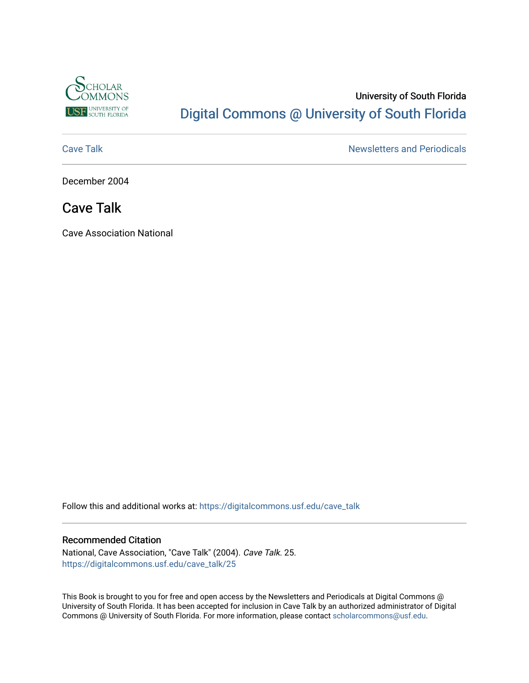

# University of South Florida [Digital Commons @ University of South Florida](https://digitalcommons.usf.edu/)

[Cave Talk](https://digitalcommons.usf.edu/cave_talk) **Newsletters** and Periodicals

December 2004

# Cave Talk

Cave Association National

Follow this and additional works at: [https://digitalcommons.usf.edu/cave\\_talk](https://digitalcommons.usf.edu/cave_talk?utm_source=digitalcommons.usf.edu%2Fcave_talk%2F25&utm_medium=PDF&utm_campaign=PDFCoverPages) 

#### Recommended Citation

National, Cave Association, "Cave Talk" (2004). Cave Talk. 25. [https://digitalcommons.usf.edu/cave\\_talk/25](https://digitalcommons.usf.edu/cave_talk/25?utm_source=digitalcommons.usf.edu%2Fcave_talk%2F25&utm_medium=PDF&utm_campaign=PDFCoverPages)

This Book is brought to you for free and open access by the Newsletters and Periodicals at Digital Commons @ University of South Florida. It has been accepted for inclusion in Cave Talk by an authorized administrator of Digital Commons @ University of South Florida. For more information, please contact [scholarcommons@usf.edu](mailto:scholarcommons@usf.edu).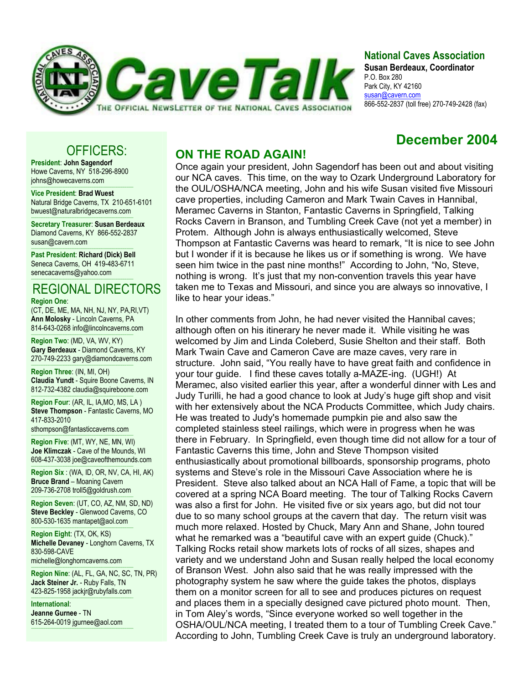

# **National Caves Association**

**Susan Berdeaux, Coordinator** P.O. Box 280 Park City, KY 42160 susan@cavern.com 866-552-2837 (toll free) 270-749-2428 (fax)

# **December 2004**

# OFFICERS:

**President**: **John Sagendorf** Howe Caverns, NY 518-296-8900 johns@howecaverns.com

----------------------------------------------------------------------------------------- **Vice President**: **Brad Wuest** Natural Bridge Caverns, TX 210-651-6101 bwuest@naturalbridgecaverns.com

----------------------------------------------------------------------------------------- **Secretary Treasurer**: **Susan Berdeaux** Diamond Caverns, KY 866-552-2837 susan@cavern.com

----------------------------------------------------------------------------------------- **Past President**: **Richard (Dick) Bell** Seneca Caverns, OH 419-483-6711 senecacaverns@yahoo.com

## ----------------------------------------------------------------------------------------- REGIONAL DIRECTORS

#### **Region One**:

(CT, DE, ME, MA, NH, NJ, NY, PA,RI,VT) **Ann Molosky** - Lincoln Caverns, PA 814-643-0268 info@lincolncaverns.com

----------------------------------------------------------------------------------------- **Region Two**: (MD, VA, WV, KY) **Gary Berdeaux** - Diamond Caverns, KY 270-749-2233 gary@diamondcaverns.com

----------------------------------------------------------------------------------------- **Region Three**: (IN, MI, OH) **Claudia Yundt** - Squire Boone Caverns, IN 812-732-4382 claudia@squireboone.com

**Region Four**: (AR, IL, IA,MO, MS, LA ) **Steve Thompson** - Fantastic Caverns, MO 417-833-2010

sthompson@fantasticcaverns.com

-----------------------------------------------------------------------------------------

----------------------------------------------------------------------------------------- **Region Five**: (MT, WY, NE, MN, WI) **Joe Klimczak** - Cave of the Mounds, WI 608-437-3038 joe@caveofthemounds.com

----------------------------------------------------------------------------------------- **Region Six** : (WA, ID, OR, NV, CA, HI, AK) **Bruce Brand** – Moaning Cavern 209-736-2708 troll5@goldrush.com

**Region Seven: (UT, CO, AZ, NM, SD, ND) Steve Beckley** - Glenwood Caverns, CO 800-530-1635 mantapet@aol.com

----------------------------------------------------------------------------------------- **Region Eight**: (TX, OK, KS) **Michelle Devaney** - Longhorn Caverns, TX 830-598-CAVE michelle@longhorncaverns.com

----------------------------------------------------------------------------------------- **Region Nine**: (AL, FL, GA, NC, SC, TN, PR)

**Jack Steiner Jr.** - Ruby Falls, TN 423-825-1958 jackjr@rubyfalls.com -----------------------------------------------------------------------------------------

**International**: **Jeanne Gurnee** - TN 615-264-0019 jgurnee@aol.com -----------------------------------------------------------------------------------------

# **ON THE ROAD AGAIN!**

Once again your president, John Sagendorf has been out and about visiting our NCA caves. This time, on the way to Ozark Underground Laboratory for the OUL/OSHA/NCA meeting, John and his wife Susan visited five Missouri cave properties, including Cameron and Mark Twain Caves in Hannibal, Meramec Caverns in Stanton, Fantastic Caverns in Springfield, Talking Rocks Cavern in Branson, and Tumbling Creek Cave (not yet a member) in Protem. Although John is always enthusiastically welcomed, Steve Thompson at Fantastic Caverns was heard to remark, "It is nice to see John but I wonder if it is because he likes us or if something is wrong. We have seen him twice in the past nine months!" According to John, "No, Steve, nothing is wrong. It's just that my non-convention travels this year have taken me to Texas and Missouri, and since you are always so innovative, I like to hear your ideas."

In other comments from John, he had never visited the Hannibal caves; although often on his itinerary he never made it. While visiting he was welcomed by Jim and Linda Coleberd, Susie Shelton and their staff. Both Mark Twain Cave and Cameron Cave are maze caves, very rare in structure. John said, "You really have to have great faith and confidence in your tour guide. I find these caves totally a-MAZE-ing. (UGH!) At Meramec, also visited earlier this year, after a wonderful dinner with Les and Judy Turilli, he had a good chance to look at Judy's huge gift shop and visit with her extensively about the NCA Products Committee, which Judy chairs. He was treated to Judy's homemade pumpkin pie and also saw the completed stainless steel railings, which were in progress when he was there in February. In Springfield, even though time did not allow for a tour of Fantastic Caverns this time, John and Steve Thompson visited enthusiastically about promotional billboards, sponsorship programs, photo systems and Steve's role in the Missouri Cave Association where he is President. Steve also talked about an NCA Hall of Fame, a topic that will be covered at a spring NCA Board meeting. The tour of Talking Rocks Cavern was also a first for John. He visited five or six years ago, but did not tour due to so many school groups at the cavern that day. The return visit was much more relaxed. Hosted by Chuck, Mary Ann and Shane, John toured what he remarked was a "beautiful cave with an expert guide (Chuck)." Talking Rocks retail show markets lots of rocks of all sizes, shapes and variety and we understand John and Susan really helped the local economy of Branson West. John also said that he was really impressed with the photography system he saw where the guide takes the photos, displays them on a monitor screen for all to see and produces pictures on request and places them in a specially designed cave pictured photo mount. Then, in Tom Aley's words, "Since everyone worked so well together in the OSHA/OUL/NCA meeting, I treated them to a tour of Tumbling Creek Cave." According to John, Tumbling Creek Cave is truly an underground laboratory.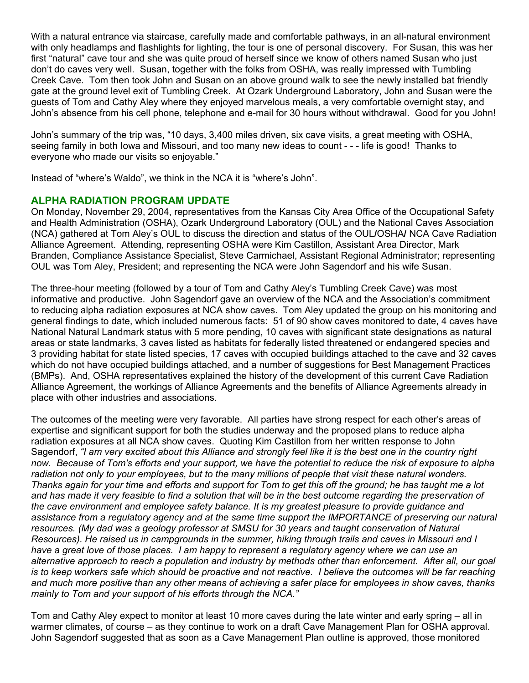With a natural entrance via staircase, carefully made and comfortable pathways, in an all-natural environment with only headlamps and flashlights for lighting, the tour is one of personal discovery. For Susan, this was her first "natural" cave tour and she was quite proud of herself since we know of others named Susan who just don't do caves very well. Susan, together with the folks from OSHA, was really impressed with Tumbling Creek Cave. Tom then took John and Susan on an above ground walk to see the newly installed bat friendly gate at the ground level exit of Tumbling Creek. At Ozark Underground Laboratory, John and Susan were the guests of Tom and Cathy Aley where they enjoyed marvelous meals, a very comfortable overnight stay, and John's absence from his cell phone, telephone and e-mail for 30 hours without withdrawal. Good for you John!

John's summary of the trip was, "10 days, 3,400 miles driven, six cave visits, a great meeting with OSHA, seeing family in both Iowa and Missouri, and too many new ideas to count - - - life is good! Thanks to everyone who made our visits so enjoyable."

Instead of "where's Waldo", we think in the NCA it is "where's John".

# **ALPHA RADIATION PROGRAM UPDATE**

On Monday, November 29, 2004, representatives from the Kansas City Area Office of the Occupational Safety and Health Administration (OSHA), Ozark Underground Laboratory (OUL) and the National Caves Association (NCA) gathered at Tom Aley's OUL to discuss the direction and status of the OUL**/**OSHA**/** NCA Cave Radiation Alliance Agreement. Attending, representing OSHA were Kim Castillon, Assistant Area Director, Mark Branden, Compliance Assistance Specialist, Steve Carmichael, Assistant Regional Administrator; representing OUL was Tom Aley, President; and representing the NCA were John Sagendorf and his wife Susan.

The three-hour meeting (followed by a tour of Tom and Cathy Aley's Tumbling Creek Cave) was most informative and productive. John Sagendorf gave an overview of the NCA and the Association's commitment to reducing alpha radiation exposures at NCA show caves. Tom Aley updated the group on his monitoring and general findings to date, which included numerous facts: 51 of 90 show caves monitored to date, 4 caves have National Natural Landmark status with 5 more pending, 10 caves with significant state designations as natural areas or state landmarks, 3 caves listed as habitats for federally listed threatened or endangered species and 3 providing habitat for state listed species, 17 caves with occupied buildings attached to the cave and 32 caves which do not have occupied buildings attached, and a number of suggestions for Best Management Practices (BMPs). And, OSHA representatives explained the history of the development of this current Cave Radiation Alliance Agreement, the workings of Alliance Agreements and the benefits of Alliance Agreements already in place with other industries and associations.

The outcomes of the meeting were very favorable. All parties have strong respect for each other's areas of expertise and significant support for both the studies underway and the proposed plans to reduce alpha radiation exposures at all NCA show caves. Quoting Kim Castillon from her written response to John Sagendorf, *"I am very excited about this Alliance and strongly feel like it is the best one in the country right now. Because of Tom's efforts and your support, we have the potential to reduce the risk of exposure to alpha radiation not only to your employees, but to the many millions of people that visit these natural wonders. Thanks again for your time and efforts and support for Tom to get this off the ground; he has taught me a lot*  and has made it very feasible to find a solution that will be in the best outcome regarding the preservation of *the cave environment and employee safety balance. It is my greatest pleasure to provide guidance and assistance from a regulatory agency and at the same time support the IMPORTANCE of preserving our natural resources. (My dad was a geology professor at SMSU for 30 years and taught conservation of Natural Resources). He raised us in campgrounds in the summer, hiking through trails and caves in Missouri and I have a great love of those places. I am happy to represent a regulatory agency where we can use an alternative approach to reach a population and industry by methods other than enforcement. After all, our goal is to keep workers safe which should be proactive and not reactive. I believe the outcomes will be far reaching and much more positive than any other means of achieving a safer place for employees in show caves, thanks mainly to Tom and your support of his efforts through the NCA."* 

Tom and Cathy Aley expect to monitor at least 10 more caves during the late winter and early spring – all in warmer climates, of course – as they continue to work on a draft Cave Management Plan for OSHA approval. John Sagendorf suggested that as soon as a Cave Management Plan outline is approved, those monitored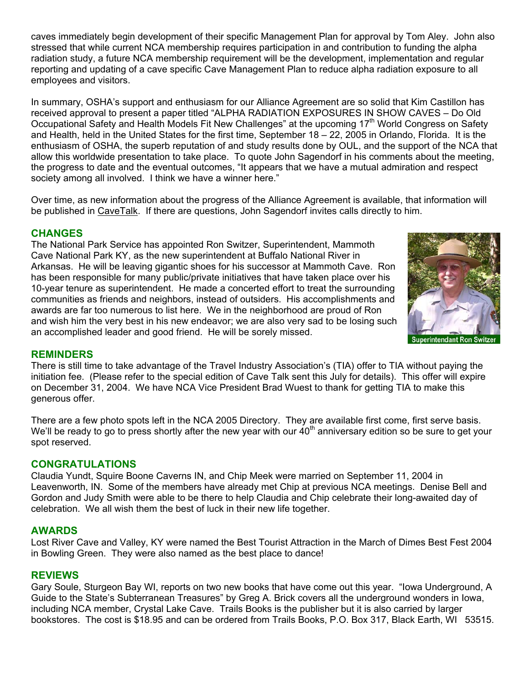caves immediately begin development of their specific Management Plan for approval by Tom Aley. John also stressed that while current NCA membership requires participation in and contribution to funding the alpha radiation study, a future NCA membership requirement will be the development, implementation and regular reporting and updating of a cave specific Cave Management Plan to reduce alpha radiation exposure to all employees and visitors.

In summary, OSHA's support and enthusiasm for our Alliance Agreement are so solid that Kim Castillon has received approval to present a paper titled "ALPHA RADIATION EXPOSURES IN SHOW CAVES – Do Old Occupational Safety and Health Models Fit New Challenges" at the upcoming 17<sup>th</sup> World Congress on Safety and Health, held in the United States for the first time, September 18 – 22, 2005 in Orlando, Florida. It is the enthusiasm of OSHA, the superb reputation of and study results done by OUL, and the support of the NCA that allow this worldwide presentation to take place. To quote John Sagendorf in his comments about the meeting, the progress to date and the eventual outcomes, "It appears that we have a mutual admiration and respect society among all involved. I think we have a winner here."

Over time, as new information about the progress of the Alliance Agreement is available, that information will be published in CaveTalk. If there are questions, John Sagendorf invites calls directly to him.

## **CHANGES**

The National Park Service has appointed Ron Switzer, Superintendent, Mammoth Cave National Park KY, as the new superintendent at Buffalo National River in Arkansas. He will be leaving gigantic shoes for his successor at Mammoth Cave. Ron has been responsible for many public/private initiatives that have taken place over his 10-year tenure as superintendent. He made a concerted effort to treat the surrounding communities as friends and neighbors, instead of outsiders. His accomplishments and awards are far too numerous to list here. We in the neighborhood are proud of Ron and wish him the very best in his new endeavor; we are also very sad to be losing such an accomplished leader and good friend. He will be sorely missed.



#### **REMINDERS**

There is still time to take advantage of the Travel Industry Association's (TIA) offer to TIA without paying the initiation fee. (Please refer to the special edition of Cave Talk sent this July for details). This offer will expire on December 31, 2004. We have NCA Vice President Brad Wuest to thank for getting TIA to make this generous offer.

There are a few photo spots left in the NCA 2005 Directory. They are available first come, first serve basis. We'll be ready to go to press shortly after the new year with our  $40<sup>th</sup>$  anniversary edition so be sure to get your spot reserved.

#### **CONGRATULATIONS**

Claudia Yundt, Squire Boone Caverns IN, and Chip Meek were married on September 11, 2004 in Leavenworth, IN. Some of the members have already met Chip at previous NCA meetings. Denise Bell and Gordon and Judy Smith were able to be there to help Claudia and Chip celebrate their long-awaited day of celebration. We all wish them the best of luck in their new life together.

#### **AWARDS**

Lost River Cave and Valley, KY were named the Best Tourist Attraction in the March of Dimes Best Fest 2004 in Bowling Green. They were also named as the best place to dance!

## **REVIEWS**

Gary Soule, Sturgeon Bay WI, reports on two new books that have come out this year. "Iowa Underground, A Guide to the State's Subterranean Treasures" by Greg A. Brick covers all the underground wonders in Iowa, including NCA member, Crystal Lake Cave. Trails Books is the publisher but it is also carried by larger bookstores. The cost is \$18.95 and can be ordered from Trails Books, P.O. Box 317, Black Earth, WI 53515.